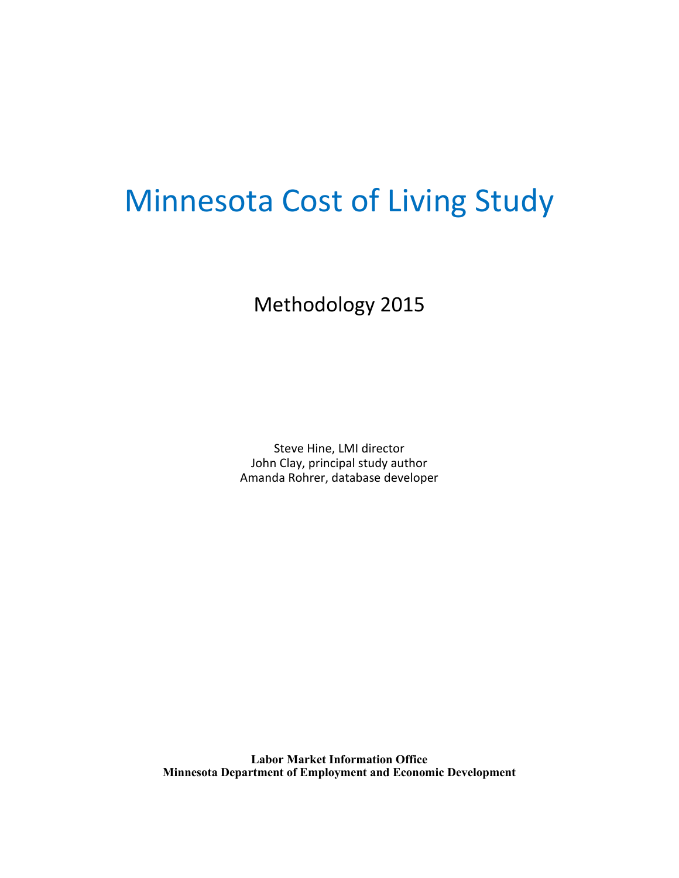# Minnesota Cost of Living Study

Methodology 2015

Steve Hine, LMI director John Clay, principal study author Amanda Rohrer, database developer

**Labor Market Information Office Minnesota Department of Employment and Economic Development**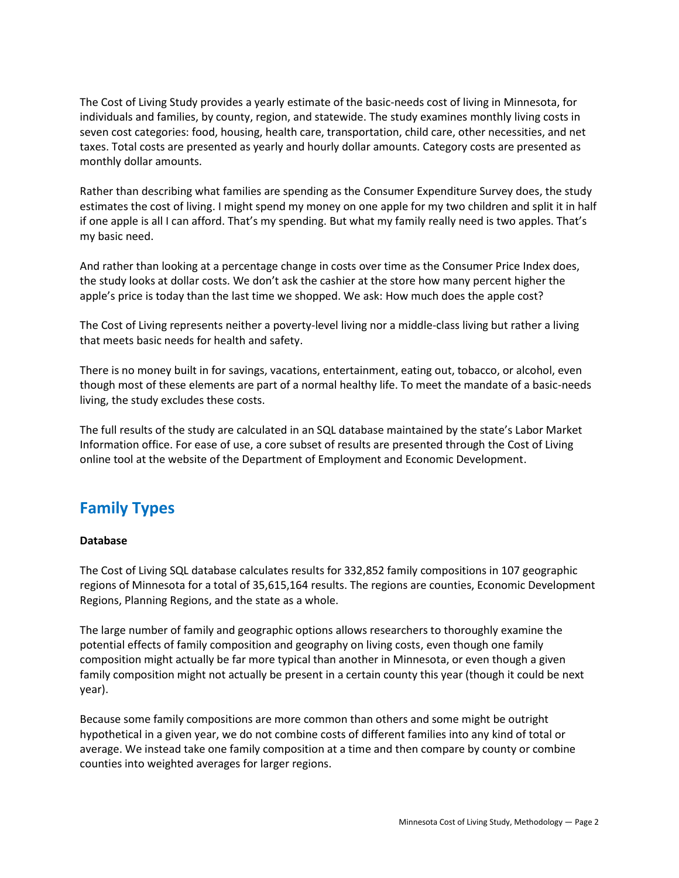The Cost of Living Study provides a yearly estimate of the basic-needs cost of living in Minnesota, for individuals and families, by county, region, and statewide. The study examines monthly living costs in seven cost categories: food, housing, health care, transportation, child care, other necessities, and net taxes. Total costs are presented as yearly and hourly dollar amounts. Category costs are presented as monthly dollar amounts.

Rather than describing what families are spending as the Consumer Expenditure Survey does, the study estimates the cost of living. I might spend my money on one apple for my two children and split it in half if one apple is all I can afford. That's my spending. But what my family really need is two apples. That's my basic need.

And rather than looking at a percentage change in costs over time as the Consumer Price Index does, the study looks at dollar costs. We don't ask the cashier at the store how many percent higher the apple's price is today than the last time we shopped. We ask: How much does the apple cost?

The Cost of Living represents neither a poverty-level living nor a middle-class living but rather a living that meets basic needs for health and safety.

There is no money built in for savings, vacations, entertainment, eating out, tobacco, or alcohol, even though most of these elements are part of a normal healthy life. To meet the mandate of a basic-needs living, the study excludes these costs.

The full results of the study are calculated in an SQL database maintained by the state's Labor Market Information office. For ease of use, a core subset of results are presented through the Cost of Living online tool at the website of the Department of Employment and Economic Development.

# **Family Types**

#### **Database**

The Cost of Living SQL database calculates results for 332,852 family compositions in 107 geographic regions of Minnesota for a total of 35,615,164 results. The regions are counties, Economic Development Regions, Planning Regions, and the state as a whole.

The large number of family and geographic options allows researchers to thoroughly examine the potential effects of family composition and geography on living costs, even though one family composition might actually be far more typical than another in Minnesota, or even though a given family composition might not actually be present in a certain county this year (though it could be next year).

Because some family compositions are more common than others and some might be outright hypothetical in a given year, we do not combine costs of different families into any kind of total or average. We instead take one family composition at a time and then compare by county or combine counties into weighted averages for larger regions.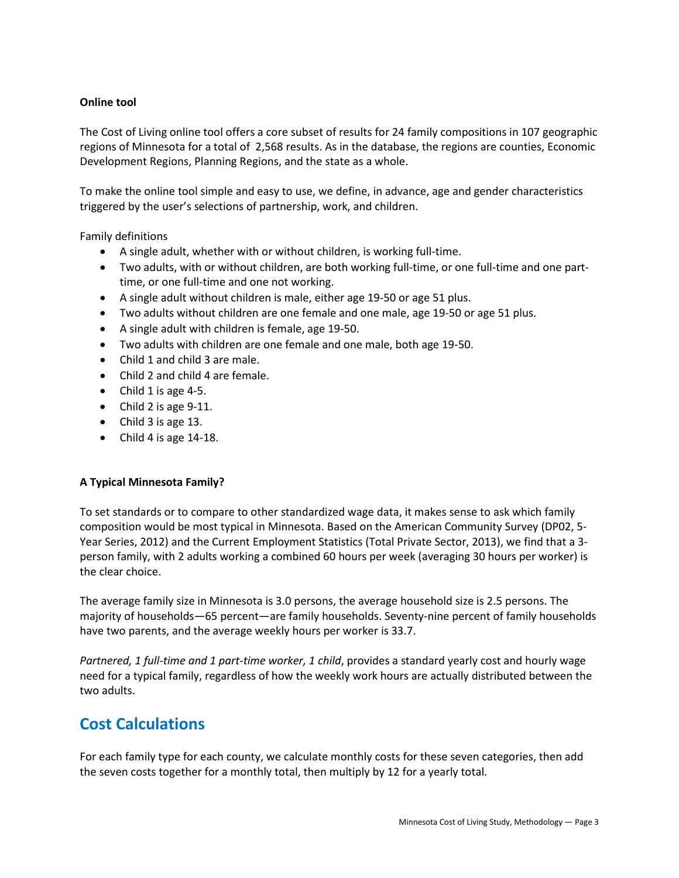#### **Online tool**

The Cost of Living online tool offers a core subset of results for 24 family compositions in 107 geographic regions of Minnesota for a total of 2,568 results. As in the database, the regions are counties, Economic Development Regions, Planning Regions, and the state as a whole.

To make the online tool simple and easy to use, we define, in advance, age and gender characteristics triggered by the user's selections of partnership, work, and children.

Family definitions

- A single adult, whether with or without children, is working full-time.
- Two adults, with or without children, are both working full-time, or one full-time and one parttime, or one full-time and one not working.
- A single adult without children is male, either age 19-50 or age 51 plus.
- Two adults without children are one female and one male, age 19-50 or age 51 plus.
- A single adult with children is female, age 19-50.
- Two adults with children are one female and one male, both age 19-50.
- Child 1 and child 3 are male.
- Child 2 and child 4 are female.
- $\bullet$  Child 1 is age 4-5.
- Child 2 is age  $9-11$ .
- Child 3 is age 13.
- Child 4 is age 14-18.

#### **A Typical Minnesota Family?**

To set standards or to compare to other standardized wage data, it makes sense to ask which family composition would be most typical in Minnesota. Based on the American Community Survey (DP02, 5- Year Series, 2012) and the Current Employment Statistics (Total Private Sector, 2013), we find that a 3 person family, with 2 adults working a combined 60 hours per week (averaging 30 hours per worker) is the clear choice.

The average family size in Minnesota is 3.0 persons, the average household size is 2.5 persons. The majority of households—65 percent—are family households. Seventy-nine percent of family households have two parents, and the average weekly hours per worker is 33.7.

*Partnered, 1 full-time and 1 part-time worker, 1 child*, provides a standard yearly cost and hourly wage need for a typical family, regardless of how the weekly work hours are actually distributed between the two adults.

# **Cost Calculations**

For each family type for each county, we calculate monthly costs for these seven categories, then add the seven costs together for a monthly total, then multiply by 12 for a yearly total.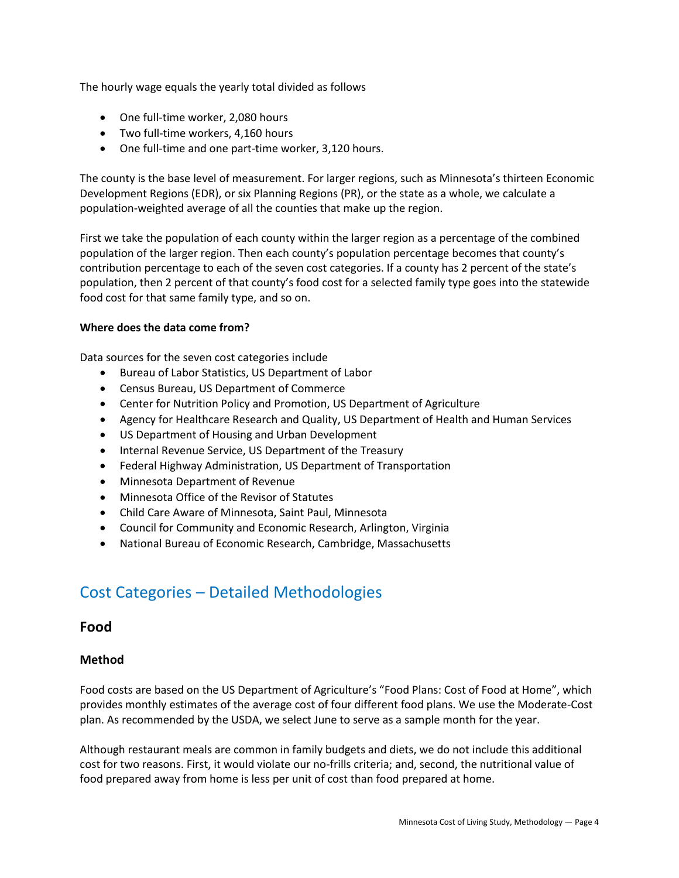The hourly wage equals the yearly total divided as follows

- One full-time worker, 2,080 hours
- Two full-time workers, 4,160 hours
- One full-time and one part-time worker, 3,120 hours.

The county is the base level of measurement. For larger regions, such as Minnesota's thirteen Economic Development Regions (EDR), or six Planning Regions (PR), or the state as a whole, we calculate a population-weighted average of all the counties that make up the region.

First we take the population of each county within the larger region as a percentage of the combined population of the larger region. Then each county's population percentage becomes that county's contribution percentage to each of the seven cost categories. If a county has 2 percent of the state's population, then 2 percent of that county's food cost for a selected family type goes into the statewide food cost for that same family type, and so on.

#### **Where does the data come from?**

Data sources for the seven cost categories include

- Bureau of Labor Statistics, US Department of Labor
- Census Bureau, US Department of Commerce
- Center for Nutrition Policy and Promotion, US Department of Agriculture
- Agency for Healthcare Research and Quality, US Department of Health and Human Services
- US Department of Housing and Urban Development
- Internal Revenue Service, US Department of the Treasury
- Federal Highway Administration, US Department of Transportation
- Minnesota Department of Revenue
- Minnesota Office of the Revisor of Statutes
- Child Care Aware of Minnesota, Saint Paul, Minnesota
- Council for Community and Economic Research, Arlington, Virginia
- National Bureau of Economic Research, Cambridge, Massachusetts

# Cost Categories – Detailed Methodologies

## **Food**

#### **Method**

Food costs are based on the US Department of Agriculture's "Food Plans: Cost of Food at Home", which provides monthly estimates of the average cost of four different food plans. We use the Moderate-Cost plan. As recommended by the USDA, we select June to serve as a sample month for the year.

Although restaurant meals are common in family budgets and diets, we do not include this additional cost for two reasons. First, it would violate our no-frills criteria; and, second, the nutritional value of food prepared away from home is less per unit of cost than food prepared at home.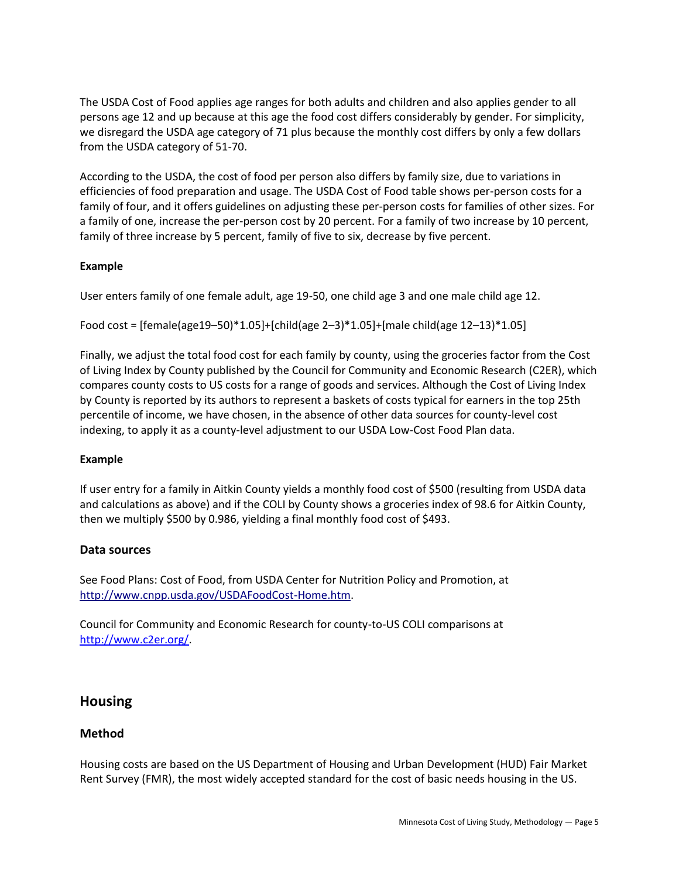The USDA Cost of Food applies age ranges for both adults and children and also applies gender to all persons age 12 and up because at this age the food cost differs considerably by gender. For simplicity, we disregard the USDA age category of 71 plus because the monthly cost differs by only a few dollars from the USDA category of 51-70.

According to the USDA, the cost of food per person also differs by family size, due to variations in efficiencies of food preparation and usage. The USDA Cost of Food table shows per-person costs for a family of four, and it offers guidelines on adjusting these per-person costs for families of other sizes. For a family of one, increase the per-person cost by 20 percent. For a family of two increase by 10 percent, family of three increase by 5 percent, family of five to six, decrease by five percent.

#### **Example**

User enters family of one female adult, age 19-50, one child age 3 and one male child age 12.

```
Food cost = [female(age19–50)*1.05]+[child(age 2–3)*1.05]+[male child(age 12–13)*1.05]
```
Finally, we adjust the total food cost for each family by county, using the groceries factor from the Cost of Living Index by County published by the Council for Community and Economic Research (C2ER), which compares county costs to US costs for a range of goods and services. Although the Cost of Living Index by County is reported by its authors to represent a baskets of costs typical for earners in the top 25th percentile of income, we have chosen, in the absence of other data sources for county-level cost indexing, to apply it as a county-level adjustment to our USDA Low-Cost Food Plan data.

#### **Example**

If user entry for a family in Aitkin County yields a monthly food cost of \$500 (resulting from USDA data and calculations as above) and if the COLI by County shows a groceries index of 98.6 for Aitkin County, then we multiply \$500 by 0.986, yielding a final monthly food cost of \$493.

## **Data sources**

See Food Plans: Cost of Food, from USDA Center for Nutrition Policy and Promotion, at [http://www.cnpp.usda.gov/USDAFoodCost-Home.htm.](http://www.cnpp.usda.gov/USDAFoodCost-Home.htm)

Council for Community and Economic Research for county-to-US COLI comparisons at [http://www.c2er.org/.](http://www.c2er.org/)

# **Housing**

## **Method**

Housing costs are based on the US Department of Housing and Urban Development (HUD) Fair Market Rent Survey (FMR), the most widely accepted standard for the cost of basic needs housing in the US.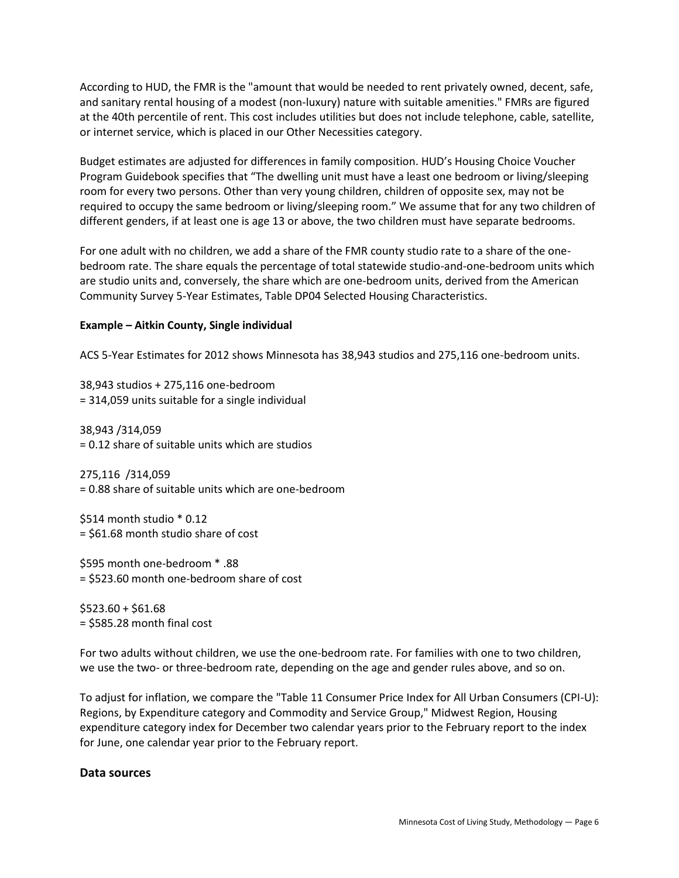According to HUD, the FMR is the "amount that would be needed to rent privately owned, decent, safe, and sanitary rental housing of a modest (non-luxury) nature with suitable amenities." FMRs are figured at the 40th percentile of rent. This cost includes utilities but does not include telephone, cable, satellite, or internet service, which is placed in our Other Necessities category.

Budget estimates are adjusted for differences in family composition. HUD's Housing Choice Voucher Program Guidebook specifies that "The dwelling unit must have a least one bedroom or living/sleeping room for every two persons. Other than very young children, children of opposite sex, may not be required to occupy the same bedroom or living/sleeping room." We assume that for any two children of different genders, if at least one is age 13 or above, the two children must have separate bedrooms.

For one adult with no children, we add a share of the FMR county studio rate to a share of the onebedroom rate. The share equals the percentage of total statewide studio-and-one-bedroom units which are studio units and, conversely, the share which are one-bedroom units, derived from the American Community Survey 5-Year Estimates, Table DP04 Selected Housing Characteristics.

#### **Example – Aitkin County, Single individual**

ACS 5-Year Estimates for 2012 shows Minnesota has 38,943 studios and 275,116 one-bedroom units.

38,943 studios + 275,116 one-bedroom = 314,059 units suitable for a single individual

38,943 /314,059 = 0.12 share of suitable units which are studios

275,116 /314,059 = 0.88 share of suitable units which are one-bedroom

\$514 month studio \* 0.12 = \$61.68 month studio share of cost

\$595 month one-bedroom \* .88 = \$523.60 month one-bedroom share of cost

 $$523.60 + $61.68$ = \$585.28 month final cost

For two adults without children, we use the one-bedroom rate. For families with one to two children, we use the two- or three-bedroom rate, depending on the age and gender rules above, and so on.

To adjust for inflation, we compare the "Table 11 Consumer Price Index for All Urban Consumers (CPI-U): Regions, by Expenditure category and Commodity and Service Group," Midwest Region, Housing expenditure category index for December two calendar years prior to the February report to the index for June, one calendar year prior to the February report.

#### **Data sources**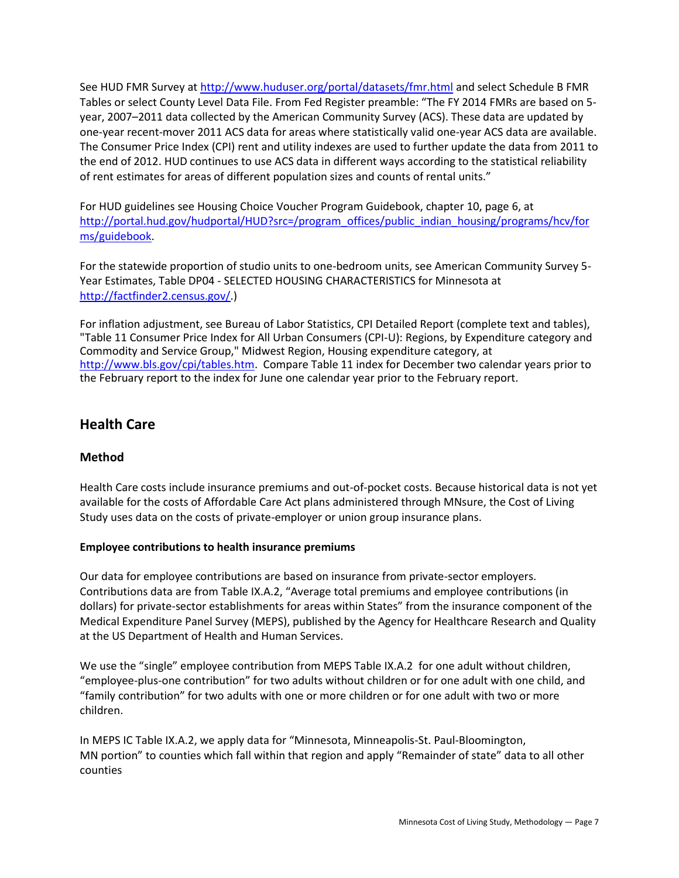See HUD FMR Survey a[t http://www.huduser.org/portal/datasets/fmr.html](http://www.huduser.org/portal/datasets/fmr.html) and select Schedule B FMR Tables or select County Level Data File. From Fed Register preamble: "The FY 2014 FMRs are based on 5 year, 2007–2011 data collected by the American Community Survey (ACS). These data are updated by one-year recent-mover 2011 ACS data for areas where statistically valid one-year ACS data are available. The Consumer Price Index (CPI) rent and utility indexes are used to further update the data from 2011 to the end of 2012. HUD continues to use ACS data in different ways according to the statistical reliability of rent estimates for areas of different population sizes and counts of rental units."

For HUD guidelines see Housing Choice Voucher Program Guidebook, chapter 10, page 6, at [http://portal.hud.gov/hudportal/HUD?src=/program\\_offices/public\\_indian\\_housing/programs/hcv/for](http://portal.hud.gov/hudportal/HUD?src=/program_offices/public_indian_housing/programs/hcv/forms/guidebook) [ms/guidebook.](http://portal.hud.gov/hudportal/HUD?src=/program_offices/public_indian_housing/programs/hcv/forms/guidebook)

For the statewide proportion of studio units to one-bedroom units, see American Community Survey 5- Year Estimates, Table DP04 - SELECTED HOUSING CHARACTERISTICS for Minnesota at [http://factfinder2.census.gov/.](http://factfinder2.census.gov/))

For inflation adjustment, see Bureau of Labor Statistics, CPI Detailed Report (complete text and tables), "Table 11 Consumer Price Index for All Urban Consumers (CPI-U): Regions, by Expenditure category and Commodity and Service Group," Midwest Region, Housing expenditure category, at [http://www.bls.gov/cpi/tables.htm.](http://www.bls.gov/cpi/tables.htm) Compare Table 11 index for December two calendar years prior to the February report to the index for June one calendar year prior to the February report.

# **Health Care**

# **Method**

Health Care costs include insurance premiums and out-of-pocket costs. Because historical data is not yet available for the costs of Affordable Care Act plans administered through MNsure, the Cost of Living Study uses data on the costs of private-employer or union group insurance plans.

## **Employee contributions to health insurance premiums**

Our data for employee contributions are based on insurance from private-sector employers. Contributions data are from Table IX.A.2, "Average total premiums and employee contributions (in dollars) for private-sector establishments for areas within States" from the insurance component of the Medical Expenditure Panel Survey (MEPS), published by the Agency for Healthcare Research and Quality at the US Department of Health and Human Services.

We use the "single" employee contribution from MEPS Table IX.A.2 for one adult without children, "employee-plus-one contribution" for two adults without children or for one adult with one child, and "family contribution" for two adults with one or more children or for one adult with two or more children.

In MEPS IC Table IX.A.2, we apply data for "Minnesota, Minneapolis-St. Paul-Bloomington, MN portion" to counties which fall within that region and apply "Remainder of state" data to all other counties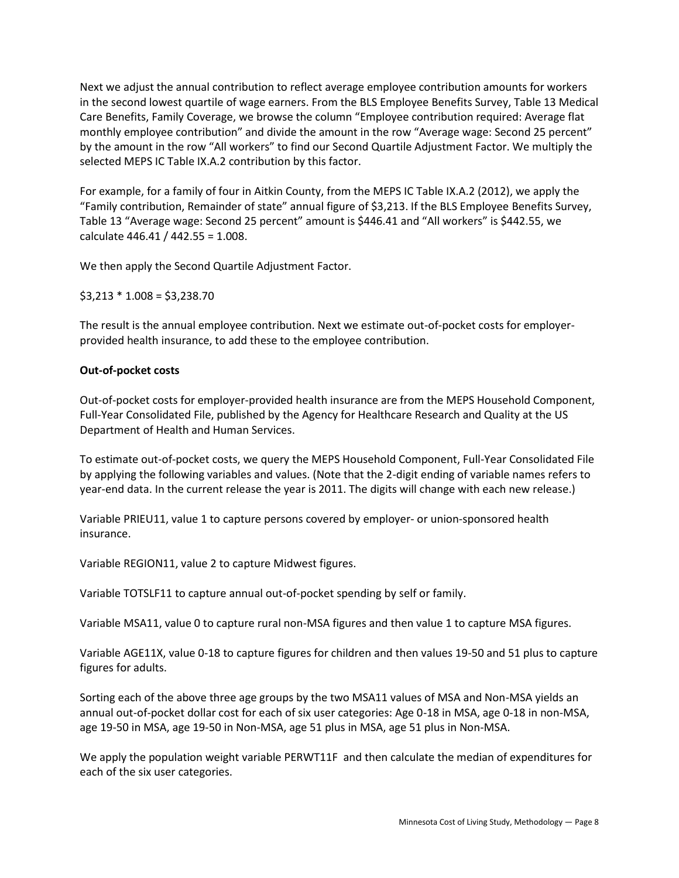Next we adjust the annual contribution to reflect average employee contribution amounts for workers in the second lowest quartile of wage earners. From the BLS Employee Benefits Survey, Table 13 Medical Care Benefits, Family Coverage, we browse the column "Employee contribution required: Average flat monthly employee contribution" and divide the amount in the row "Average wage: Second 25 percent" by the amount in the row "All workers" to find our Second Quartile Adjustment Factor. We multiply the selected MEPS IC Table IX.A.2 contribution by this factor.

For example, for a family of four in Aitkin County, from the MEPS IC Table IX.A.2 (2012), we apply the "Family contribution, Remainder of state" annual figure of \$3,213. If the BLS Employee Benefits Survey, Table 13 "Average wage: Second 25 percent" amount is \$446.41 and "All workers" is \$442.55, we calculate 446.41 / 442.55 = 1.008.

We then apply the Second Quartile Adjustment Factor.

\$3,213 \* 1.008 = \$3,238.70

The result is the annual employee contribution. Next we estimate out-of-pocket costs for employerprovided health insurance, to add these to the employee contribution.

#### **Out-of-pocket costs**

Out-of-pocket costs for employer-provided health insurance are from the MEPS Household Component, Full-Year Consolidated File, published by the Agency for Healthcare Research and Quality at the US Department of Health and Human Services.

To estimate out-of-pocket costs, we query the MEPS Household Component, Full-Year Consolidated File by applying the following variables and values. (Note that the 2-digit ending of variable names refers to year-end data. In the current release the year is 2011. The digits will change with each new release.)

Variable PRIEU11, value 1 to capture persons covered by employer- or union-sponsored health insurance.

Variable REGION11, value 2 to capture Midwest figures.

Variable TOTSLF11 to capture annual out-of-pocket spending by self or family.

Variable MSA11, value 0 to capture rural non-MSA figures and then value 1 to capture MSA figures.

Variable AGE11X, value 0-18 to capture figures for children and then values 19-50 and 51 plus to capture figures for adults.

Sorting each of the above three age groups by the two MSA11 values of MSA and Non-MSA yields an annual out-of-pocket dollar cost for each of six user categories: Age 0-18 in MSA, age 0-18 in non-MSA, age 19-50 in MSA, age 19-50 in Non-MSA, age 51 plus in MSA, age 51 plus in Non-MSA.

We apply the population weight variable PERWT11F and then calculate the median of expenditures for each of the six user categories.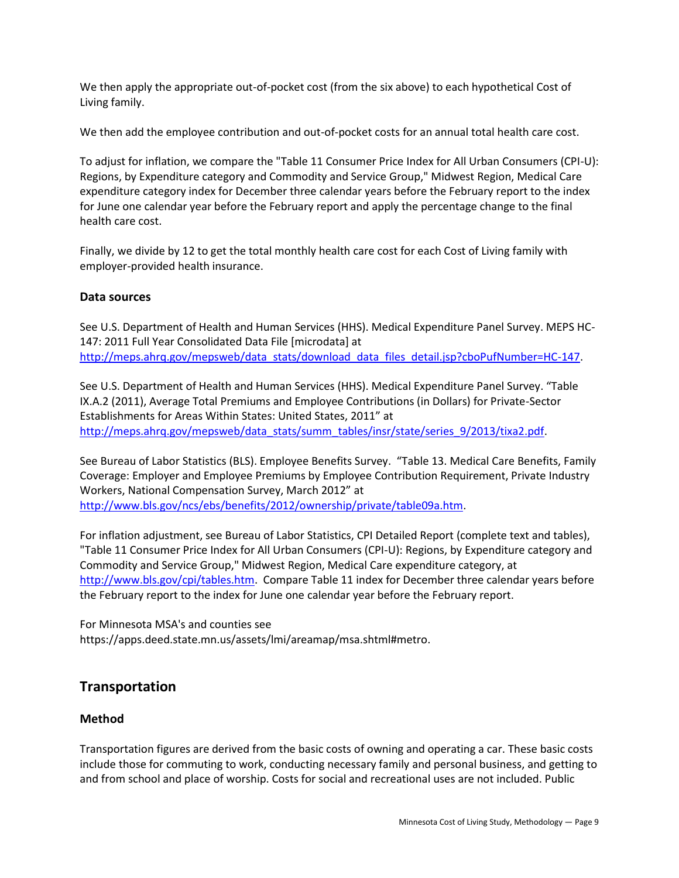We then apply the appropriate out-of-pocket cost (from the six above) to each hypothetical Cost of Living family.

We then add the employee contribution and out-of-pocket costs for an annual total health care cost.

To adjust for inflation, we compare the "Table 11 Consumer Price Index for All Urban Consumers (CPI-U): Regions, by Expenditure category and Commodity and Service Group," Midwest Region, Medical Care expenditure category index for December three calendar years before the February report to the index for June one calendar year before the February report and apply the percentage change to the final health care cost.

Finally, we divide by 12 to get the total monthly health care cost for each Cost of Living family with employer-provided health insurance.

## **Data sources**

See U.S. Department of Health and Human Services (HHS). Medical Expenditure Panel Survey. MEPS HC-147: 2011 Full Year Consolidated Data File [microdata] at [http://meps.ahrq.gov/mepsweb/data\\_stats/download\\_data\\_files\\_detail.jsp?cboPufNumber=HC-147.](http://meps.ahrq.gov/mepsweb/data_stats/download_data_files_detail.jsp?cboPufNumber=HC-147)

See U.S. Department of Health and Human Services (HHS). Medical Expenditure Panel Survey. "Table IX.A.2 (2011), Average Total Premiums and Employee Contributions (in Dollars) for Private-Sector Establishments for Areas Within States: United States, 2011" at [http://meps.ahrq.gov/mepsweb/data\\_stats/summ\\_tables/insr/state/series\\_9/2013/tixa2.pdf.](http://meps.ahrq.gov/mepsweb/data_stats/summ_tables/insr/state/series_9/2013/tixa2.pdf)

See Bureau of Labor Statistics (BLS). Employee Benefits Survey. "Table 13. Medical Care Benefits, Family Coverage: Employer and Employee Premiums by Employee Contribution Requirement, Private Industry Workers, National Compensation Survey, March 2012" at

[http://www.bls.gov/ncs/ebs/benefits/2012/ownership/private/table09a.htm.](http://www.bls.gov/ncs/ebs/benefits/2012/ownership/private/table09a.htm)

For inflation adjustment, see Bureau of Labor Statistics, CPI Detailed Report (complete text and tables), "Table 11 Consumer Price Index for All Urban Consumers (CPI-U): Regions, by Expenditure category and Commodity and Service Group," Midwest Region, Medical Care expenditure category, at [http://www.bls.gov/cpi/tables.htm.](http://www.bls.gov/cpi/tables.htm) Compare Table 11 index for December three calendar years before the February report to the index for June one calendar year before the February report.

For Minnesota MSA's and counties see https://apps.deed.state.mn.us/assets/lmi/areamap/msa.shtml#metro.

# **Transportation**

## **Method**

Transportation figures are derived from the basic costs of owning and operating a car. These basic costs include those for commuting to work, conducting necessary family and personal business, and getting to and from school and place of worship. Costs for social and recreational uses are not included. Public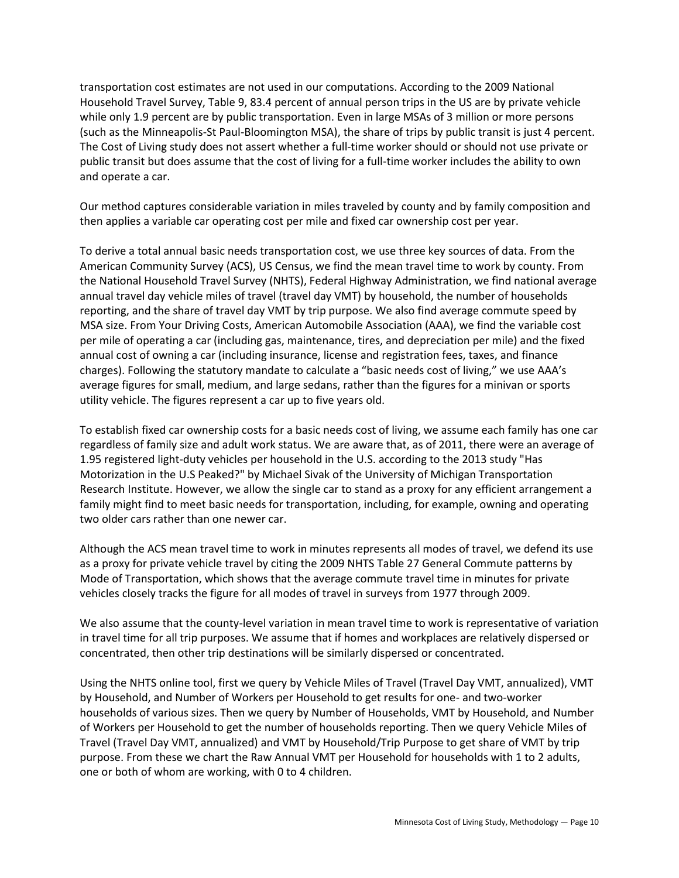transportation cost estimates are not used in our computations. According to the 2009 National Household Travel Survey, Table 9, 83.4 percent of annual person trips in the US are by private vehicle while only 1.9 percent are by public transportation. Even in large MSAs of 3 million or more persons (such as the Minneapolis-St Paul-Bloomington MSA), the share of trips by public transit is just 4 percent. The Cost of Living study does not assert whether a full-time worker should or should not use private or public transit but does assume that the cost of living for a full-time worker includes the ability to own and operate a car.

Our method captures considerable variation in miles traveled by county and by family composition and then applies a variable car operating cost per mile and fixed car ownership cost per year.

To derive a total annual basic needs transportation cost, we use three key sources of data. From the American Community Survey (ACS), US Census, we find the mean travel time to work by county. From the National Household Travel Survey (NHTS), Federal Highway Administration, we find national average annual travel day vehicle miles of travel (travel day VMT) by household, the number of households reporting, and the share of travel day VMT by trip purpose. We also find average commute speed by MSA size. From Your Driving Costs, American Automobile Association (AAA), we find the variable cost per mile of operating a car (including gas, maintenance, tires, and depreciation per mile) and the fixed annual cost of owning a car (including insurance, license and registration fees, taxes, and finance charges). Following the statutory mandate to calculate a "basic needs cost of living," we use AAA's average figures for small, medium, and large sedans, rather than the figures for a minivan or sports utility vehicle. The figures represent a car up to five years old.

To establish fixed car ownership costs for a basic needs cost of living, we assume each family has one car regardless of family size and adult work status. We are aware that, as of 2011, there were an average of 1.95 registered light-duty vehicles per household in the U.S. according to the 2013 study "Has Motorization in the U.S Peaked?" by Michael Sivak of the University of Michigan Transportation Research Institute. However, we allow the single car to stand as a proxy for any efficient arrangement a family might find to meet basic needs for transportation, including, for example, owning and operating two older cars rather than one newer car.

Although the ACS mean travel time to work in minutes represents all modes of travel, we defend its use as a proxy for private vehicle travel by citing the 2009 NHTS Table 27 General Commute patterns by Mode of Transportation, which shows that the average commute travel time in minutes for private vehicles closely tracks the figure for all modes of travel in surveys from 1977 through 2009.

We also assume that the county-level variation in mean travel time to work is representative of variation in travel time for all trip purposes. We assume that if homes and workplaces are relatively dispersed or concentrated, then other trip destinations will be similarly dispersed or concentrated.

Using the NHTS online tool, first we query by Vehicle Miles of Travel (Travel Day VMT, annualized), VMT by Household, and Number of Workers per Household to get results for one- and two-worker households of various sizes. Then we query by Number of Households, VMT by Household, and Number of Workers per Household to get the number of households reporting. Then we query Vehicle Miles of Travel (Travel Day VMT, annualized) and VMT by Household/Trip Purpose to get share of VMT by trip purpose. From these we chart the Raw Annual VMT per Household for households with 1 to 2 adults, one or both of whom are working, with 0 to 4 children.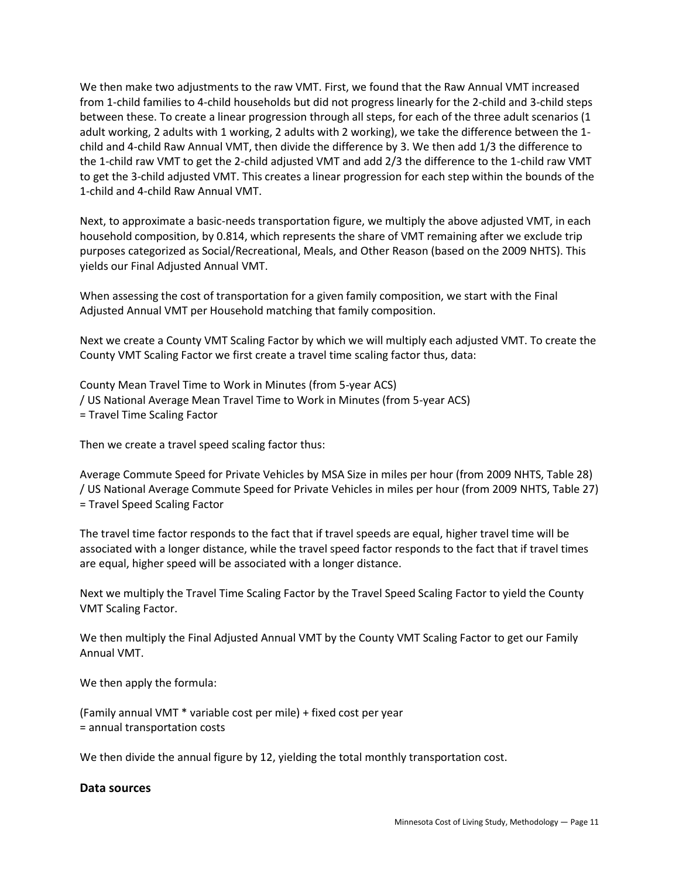We then make two adjustments to the raw VMT. First, we found that the Raw Annual VMT increased from 1-child families to 4-child households but did not progress linearly for the 2-child and 3-child steps between these. To create a linear progression through all steps, for each of the three adult scenarios (1 adult working, 2 adults with 1 working, 2 adults with 2 working), we take the difference between the 1 child and 4-child Raw Annual VMT, then divide the difference by 3. We then add 1/3 the difference to the 1-child raw VMT to get the 2-child adjusted VMT and add 2/3 the difference to the 1-child raw VMT to get the 3-child adjusted VMT. This creates a linear progression for each step within the bounds of the 1-child and 4-child Raw Annual VMT.

Next, to approximate a basic-needs transportation figure, we multiply the above adjusted VMT, in each household composition, by 0.814, which represents the share of VMT remaining after we exclude trip purposes categorized as Social/Recreational, Meals, and Other Reason (based on the 2009 NHTS). This yields our Final Adjusted Annual VMT.

When assessing the cost of transportation for a given family composition, we start with the Final Adjusted Annual VMT per Household matching that family composition.

Next we create a County VMT Scaling Factor by which we will multiply each adjusted VMT. To create the County VMT Scaling Factor we first create a travel time scaling factor thus, data:

County Mean Travel Time to Work in Minutes (from 5-year ACS) / US National Average Mean Travel Time to Work in Minutes (from 5-year ACS) = Travel Time Scaling Factor

Then we create a travel speed scaling factor thus:

Average Commute Speed for Private Vehicles by MSA Size in miles per hour (from 2009 NHTS, Table 28) / US National Average Commute Speed for Private Vehicles in miles per hour (from 2009 NHTS, Table 27) = Travel Speed Scaling Factor

The travel time factor responds to the fact that if travel speeds are equal, higher travel time will be associated with a longer distance, while the travel speed factor responds to the fact that if travel times are equal, higher speed will be associated with a longer distance.

Next we multiply the Travel Time Scaling Factor by the Travel Speed Scaling Factor to yield the County VMT Scaling Factor.

We then multiply the Final Adjusted Annual VMT by the County VMT Scaling Factor to get our Family Annual VMT.

We then apply the formula:

(Family annual VMT \* variable cost per mile) + fixed cost per year = annual transportation costs

We then divide the annual figure by 12, yielding the total monthly transportation cost.

#### **Data sources**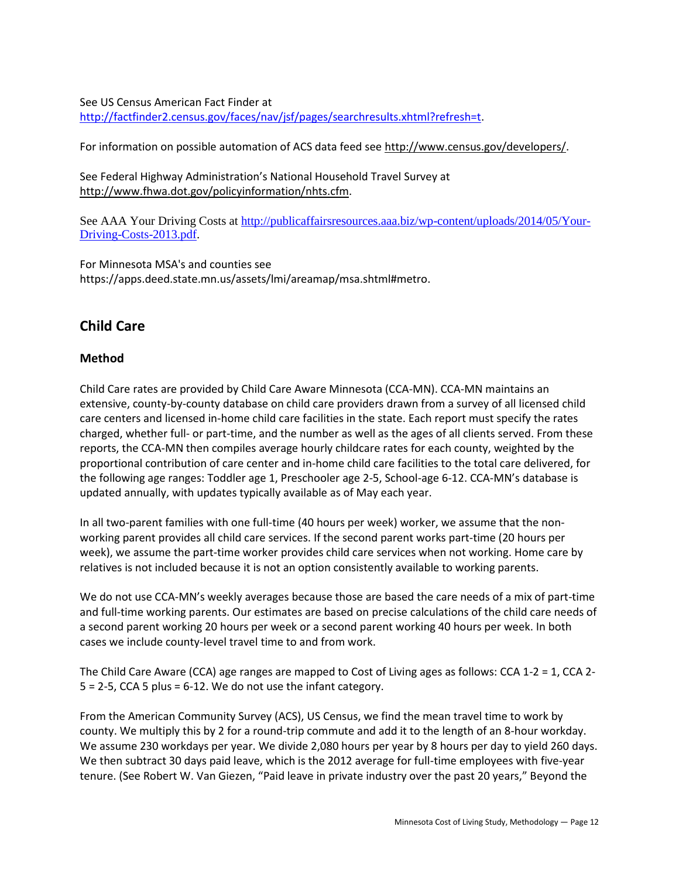See US Census American Fact Finder at [http://factfinder2.census.gov/faces/nav/jsf/pages/searchresults.xhtml?refresh=t.](http://factfinder2.census.gov/faces/nav/jsf/pages/searchresults.xhtml?refresh=t)

For information on possible automation of ACS data feed see [http://www.census.gov/developers/.](http://www.census.gov/developers/)

See Federal Highway Administration's National Household Travel Survey at [http://www.fhwa.dot.gov/policyinformation/nhts.cfm.](http://www.fhwa.dot.gov/policyinformation/nhts.cfm)

See AAA Your Driving Costs at [http://publicaffairsresources.aaa.biz/wp-content/uploads/2014/05/Your-](http://publicaffairsresources.aaa.biz/wp-content/uploads/2014/05/Your-Driving-Costs-2013.pdf)[Driving-Costs-2013.pdf.](http://publicaffairsresources.aaa.biz/wp-content/uploads/2014/05/Your-Driving-Costs-2013.pdf)

For Minnesota MSA's and counties see https://apps.deed.state.mn.us/assets/lmi/areamap/msa.shtml#metro.

# **Child Care**

# **Method**

Child Care rates are provided by Child Care Aware Minnesota (CCA-MN). CCA-MN maintains an extensive, county-by-county database on child care providers drawn from a survey of all licensed child care centers and licensed in-home child care facilities in the state. Each report must specify the rates charged, whether full- or part-time, and the number as well as the ages of all clients served. From these reports, the CCA-MN then compiles average hourly childcare rates for each county, weighted by the proportional contribution of care center and in-home child care facilities to the total care delivered, for the following age ranges: Toddler age 1, Preschooler age 2-5, School-age 6-12. CCA-MN's database is updated annually, with updates typically available as of May each year.

In all two-parent families with one full-time (40 hours per week) worker, we assume that the nonworking parent provides all child care services. If the second parent works part-time (20 hours per week), we assume the part-time worker provides child care services when not working. Home care by relatives is not included because it is not an option consistently available to working parents.

We do not use CCA-MN's weekly averages because those are based the care needs of a mix of part-time and full-time working parents. Our estimates are based on precise calculations of the child care needs of a second parent working 20 hours per week or a second parent working 40 hours per week. In both cases we include county-level travel time to and from work.

The Child Care Aware (CCA) age ranges are mapped to Cost of Living ages as follows: CCA 1-2 = 1, CCA 2-  $5 = 2-5$ , CCA 5 plus = 6-12. We do not use the infant category.

From the American Community Survey (ACS), US Census, we find the mean travel time to work by county. We multiply this by 2 for a round-trip commute and add it to the length of an 8-hour workday. We assume 230 workdays per year. We divide 2,080 hours per year by 8 hours per day to yield 260 days. We then subtract 30 days paid leave, which is the 2012 average for full-time employees with five-year tenure. (See Robert W. Van Giezen, "Paid leave in private industry over the past 20 years," Beyond the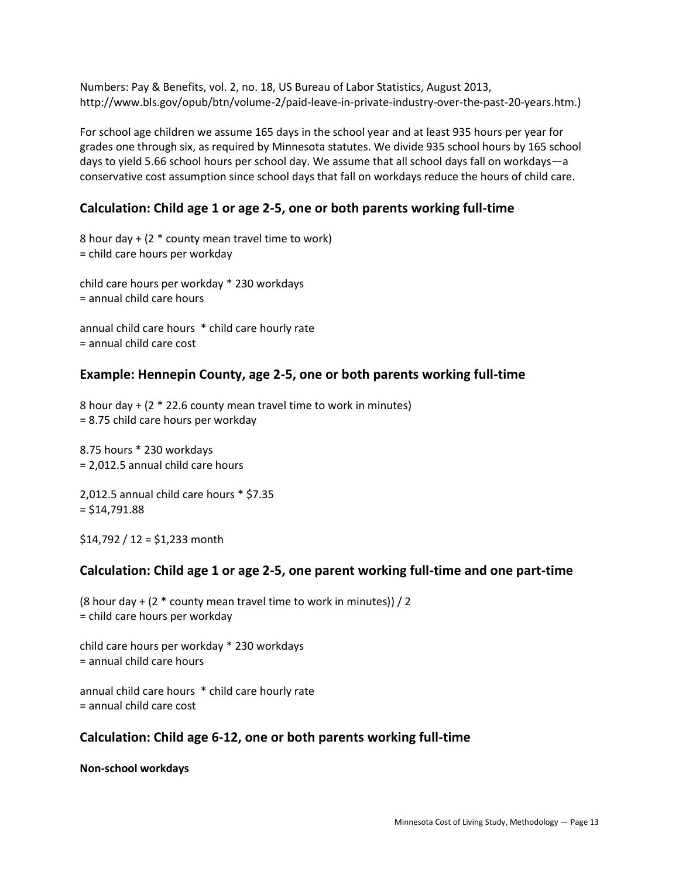Numbers: Pay & Benefits, vol. 2, no. 18, US Bureau of Labor Statistics, August 2013, http://www.bls.gov/opub/btn/volume-2/paid-leave-in-private-industry-over-the-past-20-years.htm.)

For school age children we assume 165 days in the school year and at least 935 hours per year for grades one through six, as required by Minnesota statutes. We divide 935 school hours by 165 school days to yield 5.66 school hours per school day. We assume that all school days fall on workdays—a conservative cost assumption since school days that fall on workdays reduce the hours of child care.

# **Calculation: Child age 1 or age 2-5, one or both parents working full-time**

8 hour day + (2 \* county mean travel time to work) = child care hours per workday

child care hours per workday \* 230 workdays = annual child care hours

annual child care hours \* child care hourly rate = annual child care cost

#### **Example: Hennepin County, age 2-5, one or both parents working full-time**

8 hour day + (2 \* 22.6 county mean travel time to work in minutes) = 8.75 child care hours per workday

8.75 hours \* 230 workdays = 2,012.5 annual child care hours

2,012.5 annual child care hours \* \$7.35  $=$  \$14,791.88

 $$14,792 / 12 = $1,233$  month

#### **Calculation: Child age 1 or age 2-5, one parent working full-time and one part-time**

(8 hour day  $+$  (2  $*$  county mean travel time to work in minutes)) / 2 = child care hours per workday

child care hours per workday \* 230 workdays = annual child care hours

annual child care hours \* child care hourly rate = annual child care cost

## **Calculation: Child age 6-12, one or both parents working full-time**

**Non-school workdays**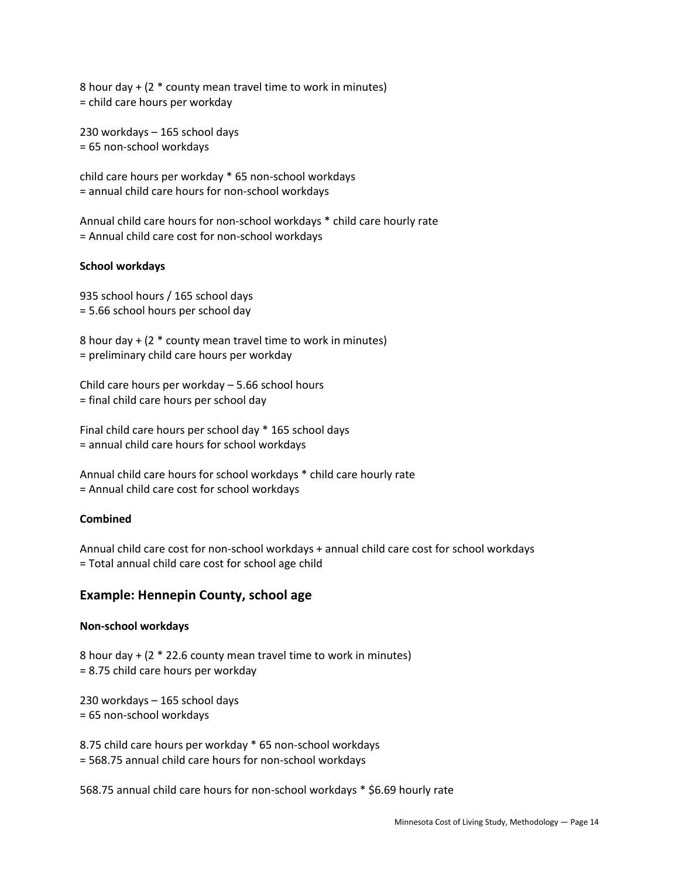8 hour day + (2 \* county mean travel time to work in minutes) = child care hours per workday

230 workdays – 165 school days = 65 non-school workdays

child care hours per workday \* 65 non-school workdays = annual child care hours for non-school workdays

Annual child care hours for non-school workdays \* child care hourly rate = Annual child care cost for non-school workdays

#### **School workdays**

935 school hours / 165 school days = 5.66 school hours per school day

8 hour day + (2 \* county mean travel time to work in minutes) = preliminary child care hours per workday

Child care hours per workday – 5.66 school hours = final child care hours per school day

Final child care hours per school day \* 165 school days = annual child care hours for school workdays

Annual child care hours for school workdays \* child care hourly rate = Annual child care cost for school workdays

#### **Combined**

Annual child care cost for non-school workdays + annual child care cost for school workdays = Total annual child care cost for school age child

#### **Example: Hennepin County, school age**

#### **Non-school workdays**

8 hour day + (2 \* 22.6 county mean travel time to work in minutes) = 8.75 child care hours per workday

230 workdays – 165 school days = 65 non-school workdays

8.75 child care hours per workday \* 65 non-school workdays = 568.75 annual child care hours for non-school workdays

568.75 annual child care hours for non-school workdays \* \$6.69 hourly rate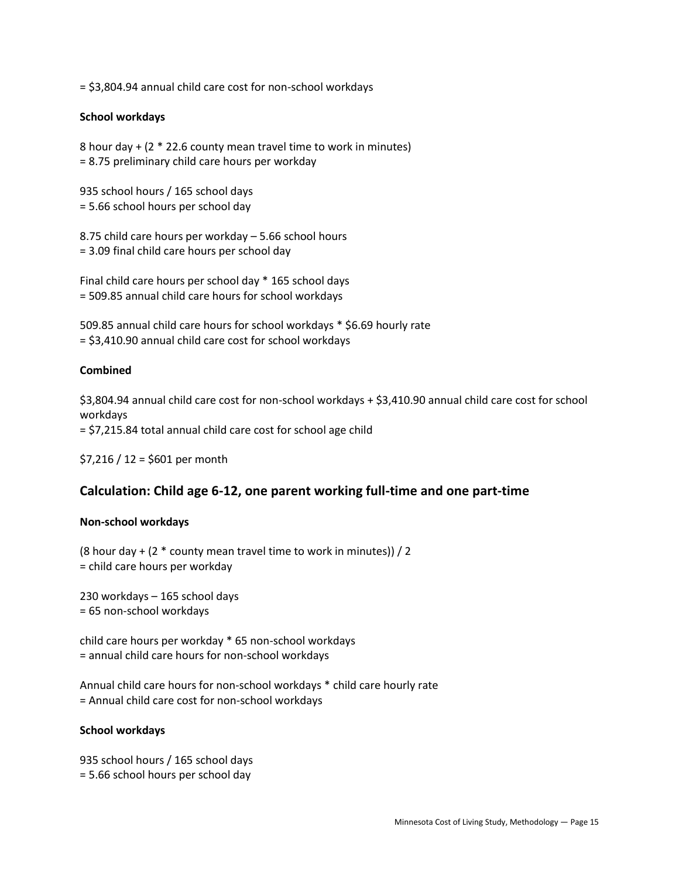= \$3,804.94 annual child care cost for non-school workdays

#### **School workdays**

8 hour day + (2 \* 22.6 county mean travel time to work in minutes) = 8.75 preliminary child care hours per workday

935 school hours / 165 school days = 5.66 school hours per school day

8.75 child care hours per workday – 5.66 school hours = 3.09 final child care hours per school day

Final child care hours per school day \* 165 school days = 509.85 annual child care hours for school workdays

509.85 annual child care hours for school workdays \* \$6.69 hourly rate = \$3,410.90 annual child care cost for school workdays

#### **Combined**

\$3,804.94 annual child care cost for non-school workdays + \$3,410.90 annual child care cost for school workdays = \$7,215.84 total annual child care cost for school age child

\$7,216 / 12 = \$601 per month

## **Calculation: Child age 6-12, one parent working full-time and one part-time**

#### **Non-school workdays**

(8 hour day + (2  $*$  county mean travel time to work in minutes)) / 2 = child care hours per workday

230 workdays – 165 school days = 65 non-school workdays

child care hours per workday \* 65 non-school workdays = annual child care hours for non-school workdays

Annual child care hours for non-school workdays \* child care hourly rate = Annual child care cost for non-school workdays

#### **School workdays**

935 school hours / 165 school days = 5.66 school hours per school day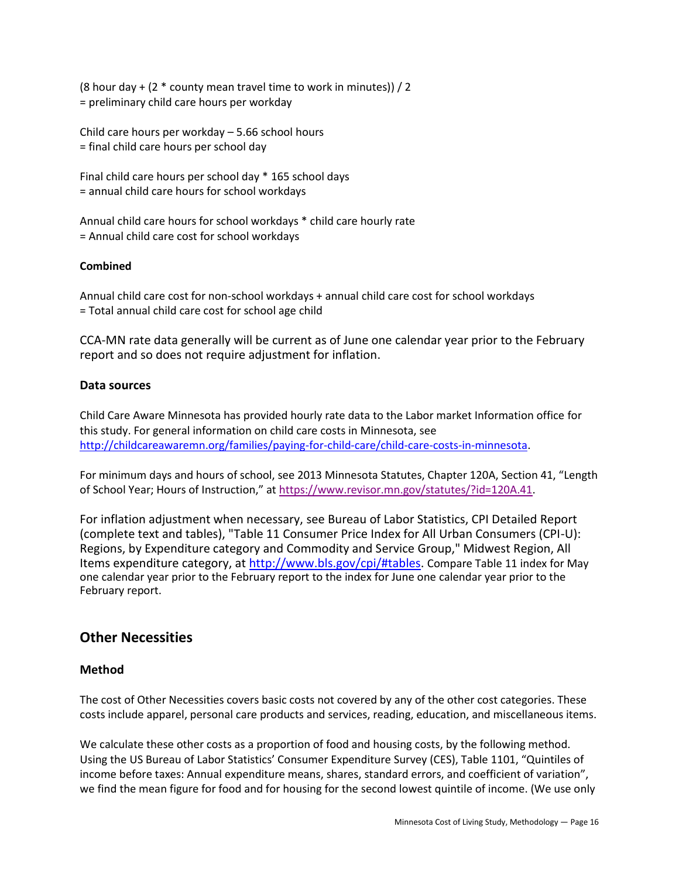(8 hour day  $+$  (2  $*$  county mean travel time to work in minutes)) / 2 = preliminary child care hours per workday

Child care hours per workday – 5.66 school hours = final child care hours per school day

Final child care hours per school day \* 165 school days = annual child care hours for school workdays

Annual child care hours for school workdays \* child care hourly rate = Annual child care cost for school workdays

#### **Combined**

Annual child care cost for non-school workdays + annual child care cost for school workdays = Total annual child care cost for school age child

CCA-MN rate data generally will be current as of June one calendar year prior to the February report and so does not require adjustment for inflation.

#### **Data sources**

Child Care Aware Minnesota has provided hourly rate data to the Labor market Information office for this study. For general information on child care costs in Minnesota, see [http://childcareawaremn.org/families/paying-for-child-care/child-care-costs-in-minnesota.](http://childcareawaremn.org/families/paying-for-child-care/child-care-costs-in-minnesota)

For minimum days and hours of school, see 2013 Minnesota Statutes, Chapter 120A, Section 41, "Length of School Year; Hours of Instruction," at [https://www.revisor.mn.gov/statutes/?id=120A.41.](https://www.revisor.mn.gov/statutes/?id=120A.41)

For inflation adjustment when necessary, see Bureau of Labor Statistics, CPI Detailed Report (complete text and tables), "Table 11 Consumer Price Index for All Urban Consumers (CPI-U): Regions, by Expenditure category and Commodity and Service Group," Midwest Region, All Items expenditure category, at [http://www.bls.gov/cpi/#tables.](http://www.bls.gov/cpi/#tables) Compare Table 11 index for May one calendar year prior to the February report to the index for June one calendar year prior to the February report.

# **Other Necessities**

## **Method**

The cost of Other Necessities covers basic costs not covered by any of the other cost categories. These costs include apparel, personal care products and services, reading, education, and miscellaneous items.

We calculate these other costs as a proportion of food and housing costs, by the following method. Using the US Bureau of Labor Statistics' Consumer Expenditure Survey (CES), Table 1101, "Quintiles of income before taxes: Annual expenditure means, shares, standard errors, and coefficient of variation", we find the mean figure for food and for housing for the second lowest quintile of income. (We use only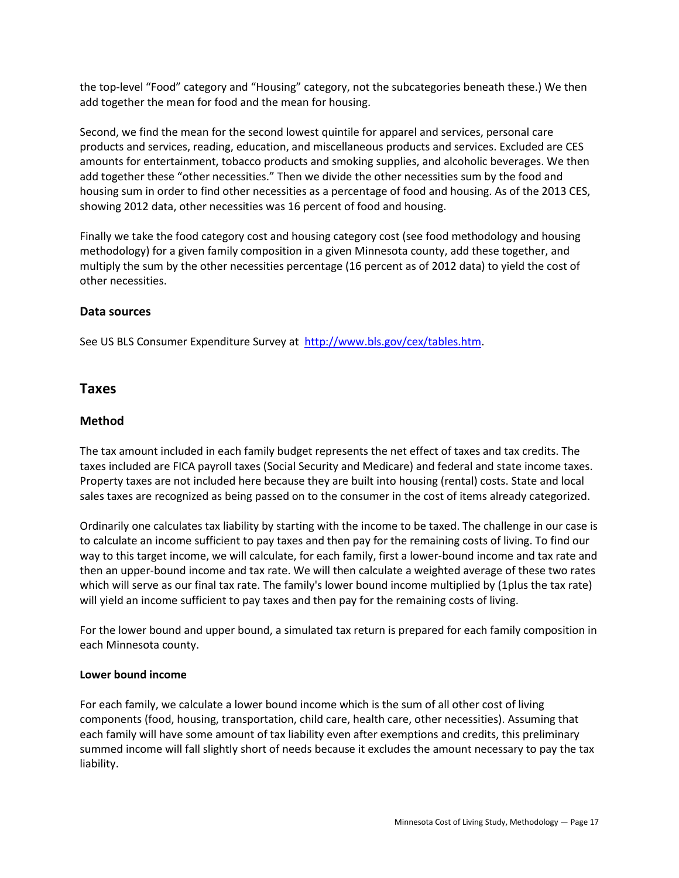the top-level "Food" category and "Housing" category, not the subcategories beneath these.) We then add together the mean for food and the mean for housing.

Second, we find the mean for the second lowest quintile for apparel and services, personal care products and services, reading, education, and miscellaneous products and services. Excluded are CES amounts for entertainment, tobacco products and smoking supplies, and alcoholic beverages. We then add together these "other necessities." Then we divide the other necessities sum by the food and housing sum in order to find other necessities as a percentage of food and housing. As of the 2013 CES, showing 2012 data, other necessities was 16 percent of food and housing.

Finally we take the food category cost and housing category cost (see food methodology and housing methodology) for a given family composition in a given Minnesota county, add these together, and multiply the sum by the other necessities percentage (16 percent as of 2012 data) to yield the cost of other necessities.

#### **Data sources**

See US BLS Consumer Expenditure Survey at [http://www.bls.gov/cex/tables.htm.](http://www.bls.gov/cex/tables.htm)

## **Taxes**

#### **Method**

The tax amount included in each family budget represents the net effect of taxes and tax credits. The taxes included are FICA payroll taxes (Social Security and Medicare) and federal and state income taxes. Property taxes are not included here because they are built into housing (rental) costs. State and local sales taxes are recognized as being passed on to the consumer in the cost of items already categorized.

Ordinarily one calculates tax liability by starting with the income to be taxed. The challenge in our case is to calculate an income sufficient to pay taxes and then pay for the remaining costs of living. To find our way to this target income, we will calculate, for each family, first a lower-bound income and tax rate and then an upper-bound income and tax rate. We will then calculate a weighted average of these two rates which will serve as our final tax rate. The family's lower bound income multiplied by (1plus the tax rate) will yield an income sufficient to pay taxes and then pay for the remaining costs of living.

For the lower bound and upper bound, a simulated tax return is prepared for each family composition in each Minnesota county.

#### **Lower bound income**

For each family, we calculate a lower bound income which is the sum of all other cost of living components (food, housing, transportation, child care, health care, other necessities). Assuming that each family will have some amount of tax liability even after exemptions and credits, this preliminary summed income will fall slightly short of needs because it excludes the amount necessary to pay the tax liability.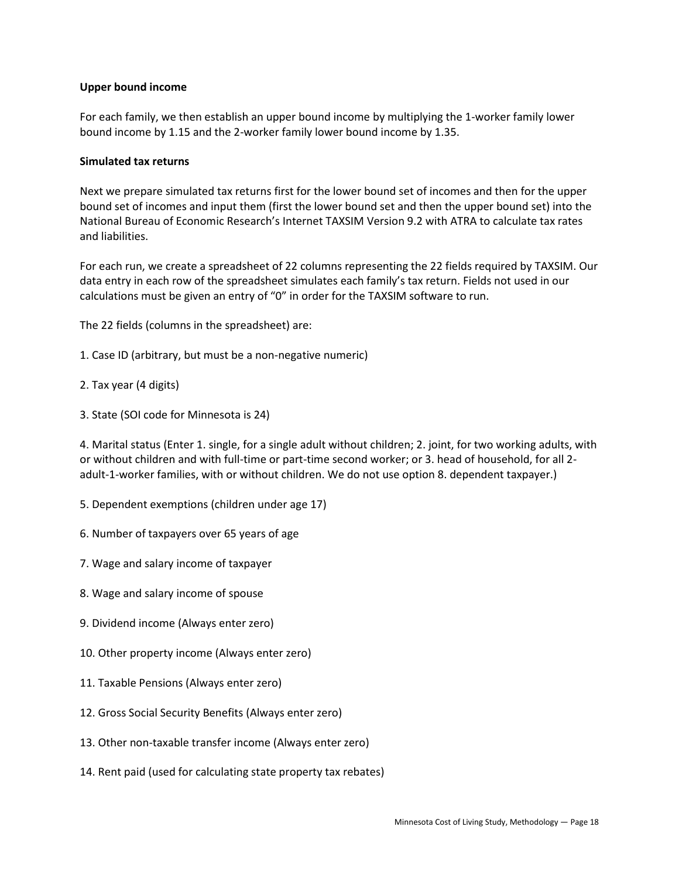#### **Upper bound income**

For each family, we then establish an upper bound income by multiplying the 1-worker family lower bound income by 1.15 and the 2-worker family lower bound income by 1.35.

#### **Simulated tax returns**

Next we prepare simulated tax returns first for the lower bound set of incomes and then for the upper bound set of incomes and input them (first the lower bound set and then the upper bound set) into the National Bureau of Economic Research's Internet TAXSIM Version 9.2 with ATRA to calculate tax rates and liabilities.

For each run, we create a spreadsheet of 22 columns representing the 22 fields required by TAXSIM. Our data entry in each row of the spreadsheet simulates each family's tax return. Fields not used in our calculations must be given an entry of "0" in order for the TAXSIM software to run.

The 22 fields (columns in the spreadsheet) are:

- 1. Case ID (arbitrary, but must be a non-negative numeric)
- 2. Tax year (4 digits)
- 3. State (SOI code for Minnesota is 24)

4. Marital status (Enter 1. single, for a single adult without children; 2. joint, for two working adults, with or without children and with full-time or part-time second worker; or 3. head of household, for all 2 adult-1-worker families, with or without children. We do not use option 8. dependent taxpayer.)

- 5. Dependent exemptions (children under age 17)
- 6. Number of taxpayers over 65 years of age
- 7. Wage and salary income of taxpayer
- 8. Wage and salary income of spouse
- 9. Dividend income (Always enter zero)
- 10. Other property income (Always enter zero)
- 11. Taxable Pensions (Always enter zero)
- 12. Gross Social Security Benefits (Always enter zero)
- 13. Other non-taxable transfer income (Always enter zero)
- 14. Rent paid (used for calculating state property tax rebates)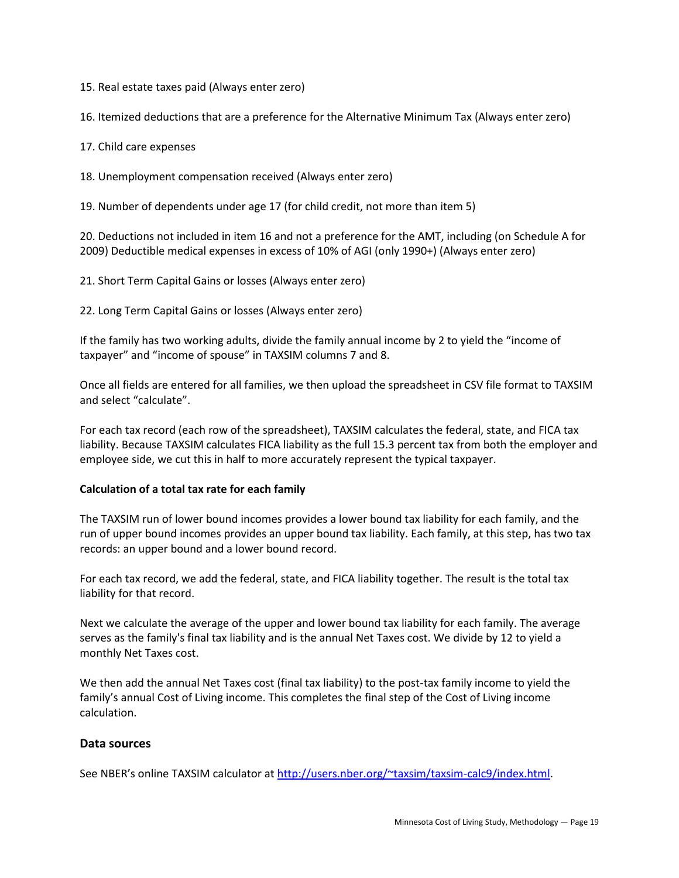15. Real estate taxes paid (Always enter zero)

16. Itemized deductions that are a preference for the Alternative Minimum Tax (Always enter zero)

17. Child care expenses

18. Unemployment compensation received (Always enter zero)

19. Number of dependents under age 17 (for child credit, not more than item 5)

20. Deductions not included in item 16 and not a preference for the AMT, including (on Schedule A for 2009) Deductible medical expenses in excess of 10% of AGI (only 1990+) (Always enter zero)

21. Short Term Capital Gains or losses (Always enter zero)

22. Long Term Capital Gains or losses (Always enter zero)

If the family has two working adults, divide the family annual income by 2 to yield the "income of taxpayer" and "income of spouse" in TAXSIM columns 7 and 8.

Once all fields are entered for all families, we then upload the spreadsheet in CSV file format to TAXSIM and select "calculate".

For each tax record (each row of the spreadsheet), TAXSIM calculates the federal, state, and FICA tax liability. Because TAXSIM calculates FICA liability as the full 15.3 percent tax from both the employer and employee side, we cut this in half to more accurately represent the typical taxpayer.

#### **Calculation of a total tax rate for each family**

The TAXSIM run of lower bound incomes provides a lower bound tax liability for each family, and the run of upper bound incomes provides an upper bound tax liability. Each family, at this step, has two tax records: an upper bound and a lower bound record.

For each tax record, we add the federal, state, and FICA liability together. The result is the total tax liability for that record.

Next we calculate the average of the upper and lower bound tax liability for each family. The average serves as the family's final tax liability and is the annual Net Taxes cost. We divide by 12 to yield a monthly Net Taxes cost.

We then add the annual Net Taxes cost (final tax liability) to the post-tax family income to yield the family's annual Cost of Living income. This completes the final step of the Cost of Living income calculation.

#### **Data sources**

See NBER's online TAXSIM calculator at [http://users.nber.org/~taxsim/taxsim-calc9/index.html.](http://users.nber.org/~taxsim/taxsim-calc9/index.html)